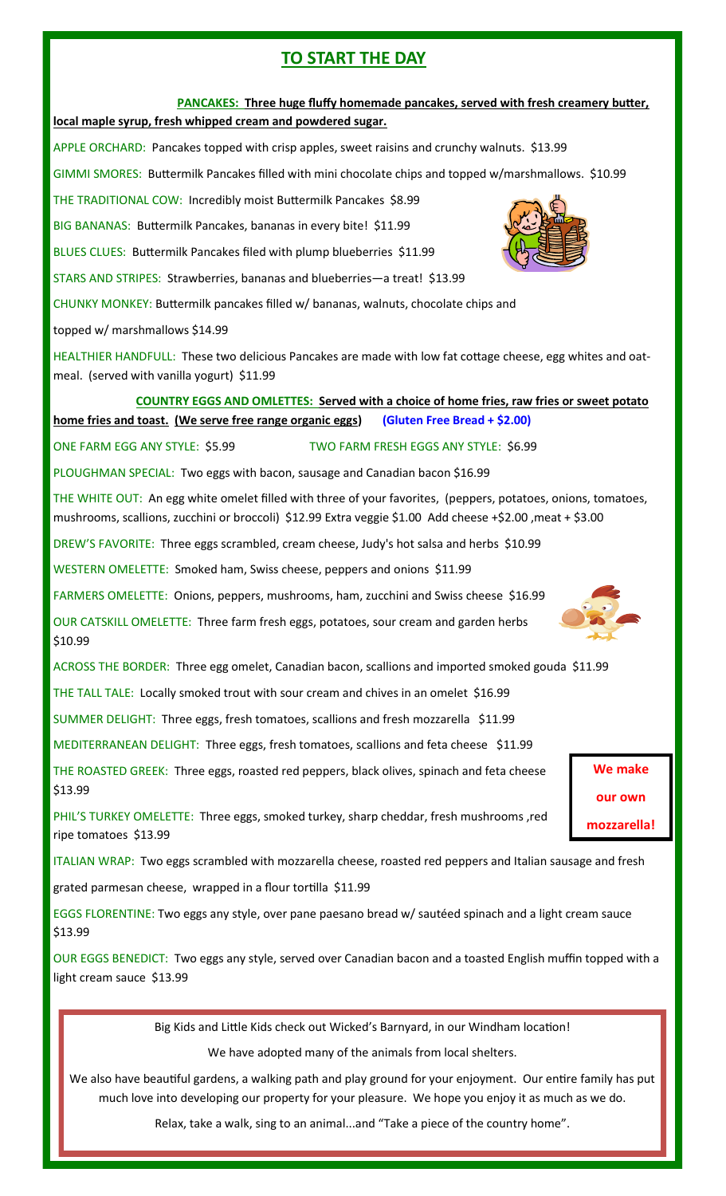## **TO START THE DAY**

#### **PANCAKES: Three huge fluffy homemade pancakes, served with fresh creamery butter,**

#### **local maple syrup, fresh whipped cream and powdered sugar.**

APPLE ORCHARD: Pancakes topped with crisp apples, sweet raisins and crunchy walnuts. \$13.99

GIMMI SMORES: Buttermilk Pancakes filled with mini chocolate chips and topped w/marshmallows. \$10.99

THE TRADITIONAL COW: Incredibly moist Buttermilk Pancakes \$8.99

BIG BANANAS: Buttermilk Pancakes, bananas in every bite! \$11.99

BLUES CLUES: Buttermilk Pancakes filed with plump blueberries \$11.99

STARS AND STRIPES: Strawberries, bananas and blueberries—a treat! \$13.99

CHUNKY MONKEY: Buttermilk pancakes filled w/ bananas, walnuts, chocolate chips and

topped w/ marshmallows \$14.99

HEALTHIER HANDFULL: These two delicious Pancakes are made with low fat cottage cheese, egg whites and oatmeal. (served with vanilla yogurt) \$11.99

# **COUNTRY EGGS AND OMLETTES: Served with a choice of home fries, raw fries or sweet potato**

**home fries and toast. (We serve free range organic eggs) (Gluten Free Bread + \$2.00)**

ONE FARM EGG ANY STYLE: \$5.99 TWO FARM FRESH EGGS ANY STYLE: \$6.99

PLOUGHMAN SPECIAL: Two eggs with bacon, sausage and Canadian bacon \$16.99

THE WHITE OUT: An egg white omelet filled with three of your favorites, (peppers, potatoes, onions, tomatoes, mushrooms, scallions, zucchini or broccoli) \$12.99 Extra veggie \$1.00 Add cheese +\$2.00 ,meat + \$3.00

DREW'S FAVORITE: Three eggs scrambled, cream cheese, Judy's hot salsa and herbs \$10.99

WESTERN OMELETTE: Smoked ham, Swiss cheese, peppers and onions \$11.99

FARMERS OMELETTE: Onions, peppers, mushrooms, ham, zucchini and Swiss cheese \$16.99

OUR CATSKILL OMELETTE: Three farm fresh eggs, potatoes, sour cream and garden herbs \$10.99

ACROSS THE BORDER: Three egg omelet, Canadian bacon, scallions and imported smoked gouda \$11.99

THE TALL TALE: Locally smoked trout with sour cream and chives in an omelet \$16.99

SUMMER DELIGHT: Three eggs, fresh tomatoes, scallions and fresh mozzarella \$11.99

MEDITERRANEAN DELIGHT: Three eggs, fresh tomatoes, scallions and feta cheese \$11.99

THE ROASTED GREEK: Three eggs, roasted red peppers, black olives, spinach and feta cheese \$13.99

PHIL'S TURKEY OMELETTE: Three eggs, smoked turkey, sharp cheddar, fresh mushrooms ,red ripe tomatoes \$13.99

ITALIAN WRAP: Two eggs scrambled with mozzarella cheese, roasted red peppers and Italian sausage and fresh

grated parmesan cheese, wrapped in a flour tortilla \$11.99

EGGS FLORENTINE: Two eggs any style, over pane paesano bread w/ sautéed spinach and a light cream sauce \$13.99

OUR EGGS BENEDICT: Two eggs any style, served over Canadian bacon and a toasted English muffin topped with a light cream sauce \$13.99

Big Kids and Little Kids check out Wicked's Barnyard, in our Windham location!

We have adopted many of the animals from local shelters.

We also have beautiful gardens, a walking path and play ground for your enjoyment. Our entire family has put much love into developing our property for your pleasure. We hope you enjoy it as much as we do.

Relax, take a walk, sing to an animal...and "Take a piece of the country home".



**We make our own mozzarella!**